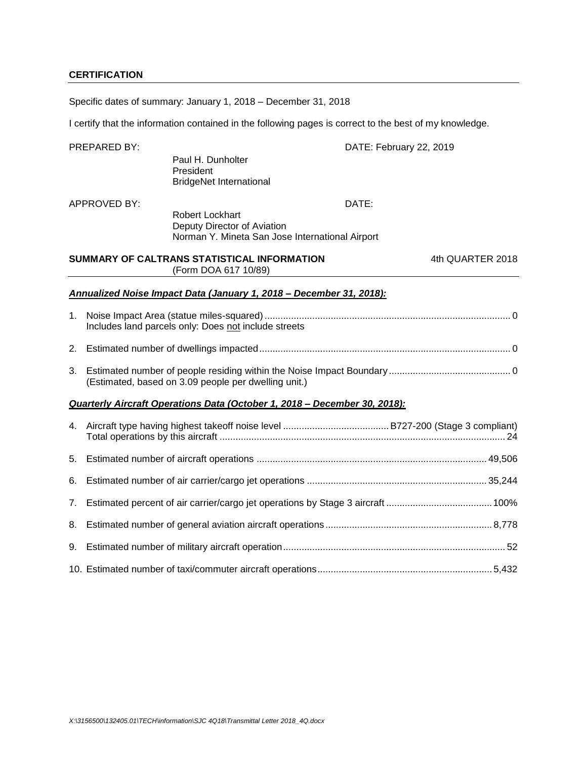## **CERTIFICATION**

Specific dates of summary: January 1, 2018 – December 31, 2018

I certify that the information contained in the following pages is correct to the best of my knowledge.

|    | PREPARED BY: |                                                                                                          | DATE: February 22, 2019 |                  |
|----|--------------|----------------------------------------------------------------------------------------------------------|-------------------------|------------------|
|    |              | Paul H. Dunholter<br>President<br><b>BridgeNet International</b>                                         |                         |                  |
|    | APPROVED BY: | <b>Robert Lockhart</b><br>Deputy Director of Aviation<br>Norman Y. Mineta San Jose International Airport | DATE:                   |                  |
|    |              | SUMMARY OF CALTRANS STATISTICAL INFORMATION<br>(Form DOA 617 10/89)                                      |                         | 4th QUARTER 2018 |
|    |              | Annualized Noise Impact Data (January 1, 2018 - December 31, 2018):                                      |                         |                  |
| 1. |              | Includes land parcels only: Does not include streets                                                     |                         |                  |
| 2. |              |                                                                                                          |                         |                  |
| 3. |              | (Estimated, based on 3.09 people per dwelling unit.)                                                     |                         |                  |
|    |              | Quarterly Aircraft Operations Data (October 1, 2018 – December 30, 2018):                                |                         |                  |
| 4. |              |                                                                                                          |                         |                  |
| 5. |              |                                                                                                          |                         |                  |
| 6. |              |                                                                                                          |                         |                  |
| 7. |              |                                                                                                          |                         |                  |
| 8. |              |                                                                                                          |                         |                  |
| 9. |              |                                                                                                          |                         |                  |
|    |              |                                                                                                          |                         |                  |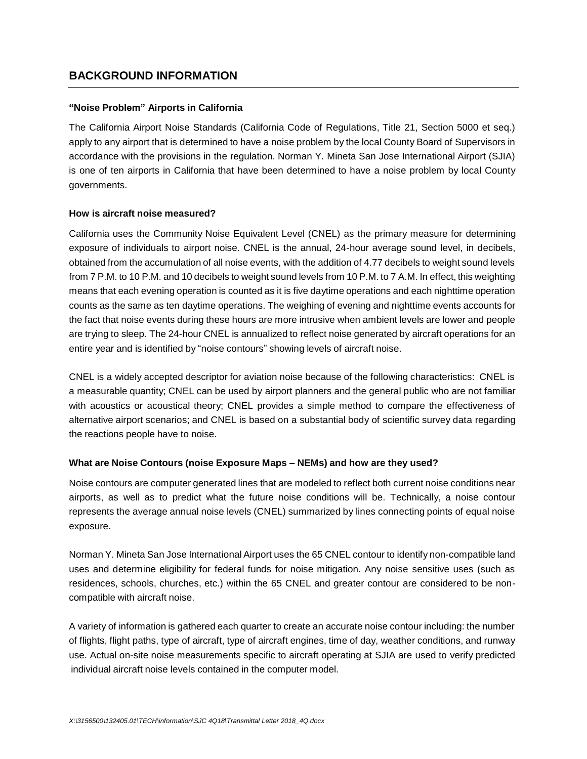## **BACKGROUND INFORMATION**

### **"Noise Problem" Airports in California**

The California Airport Noise Standards (California Code of Regulations, Title 21, Section 5000 et seq.) apply to any airport that is determined to have a noise problem by the local County Board of Supervisors in accordance with the provisions in the regulation. Norman Y. Mineta San Jose International Airport (SJIA) is one of ten airports in California that have been determined to have a noise problem by local County governments.

### **How is aircraft noise measured?**

California uses the Community Noise Equivalent Level (CNEL) as the primary measure for determining exposure of individuals to airport noise. CNEL is the annual, 24-hour average sound level, in decibels, obtained from the accumulation of all noise events, with the addition of 4.77 decibels to weight sound levels from 7 P.M. to 10 P.M. and 10 decibels to weight sound levels from 10 P.M. to 7 A.M. In effect, this weighting means that each evening operation is counted as it is five daytime operations and each nighttime operation counts as the same as ten daytime operations. The weighing of evening and nighttime events accounts for the fact that noise events during these hours are more intrusive when ambient levels are lower and people are trying to sleep. The 24-hour CNEL is annualized to reflect noise generated by aircraft operations for an entire year and is identified by "noise contours" showing levels of aircraft noise.

CNEL is a widely accepted descriptor for aviation noise because of the following characteristics: CNEL is a measurable quantity; CNEL can be used by airport planners and the general public who are not familiar with acoustics or acoustical theory; CNEL provides a simple method to compare the effectiveness of alternative airport scenarios; and CNEL is based on a substantial body of scientific survey data regarding the reactions people have to noise.

## **What are Noise Contours (noise Exposure Maps – NEMs) and how are they used?**

Noise contours are computer generated lines that are modeled to reflect both current noise conditions near airports, as well as to predict what the future noise conditions will be. Technically, a noise contour represents the average annual noise levels (CNEL) summarized by lines connecting points of equal noise exposure.

Norman Y. Mineta San Jose International Airport uses the 65 CNEL contour to identify non-compatible land uses and determine eligibility for federal funds for noise mitigation. Any noise sensitive uses (such as residences, schools, churches, etc.) within the 65 CNEL and greater contour are considered to be noncompatible with aircraft noise.

A variety of information is gathered each quarter to create an accurate noise contour including: the number of flights, flight paths, type of aircraft, type of aircraft engines, time of day, weather conditions, and runway use. Actual on-site noise measurements specific to aircraft operating at SJIA are used to verify predicted individual aircraft noise levels contained in the computer model.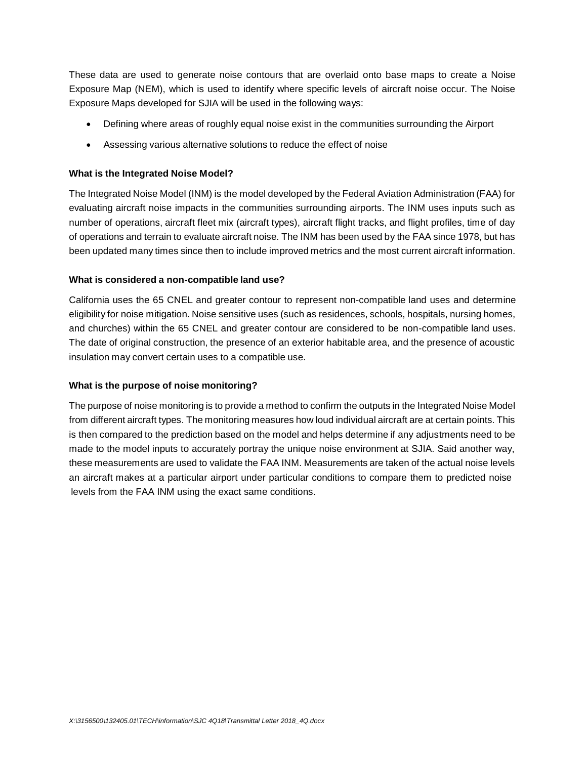These data are used to generate noise contours that are overlaid onto base maps to create a Noise Exposure Map (NEM), which is used to identify where specific levels of aircraft noise occur. The Noise Exposure Maps developed for SJIA will be used in the following ways:

- Defining where areas of roughly equal noise exist in the communities surrounding the Airport
- Assessing various alternative solutions to reduce the effect of noise

### **What is the Integrated Noise Model?**

The Integrated Noise Model (INM) is the model developed by the Federal Aviation Administration (FAA) for evaluating aircraft noise impacts in the communities surrounding airports. The INM uses inputs such as number of operations, aircraft fleet mix (aircraft types), aircraft flight tracks, and flight profiles, time of day of operations and terrain to evaluate aircraft noise. The INM has been used by the FAA since 1978, but has been updated many times since then to include improved metrics and the most current aircraft information.

### **What is considered a non-compatible land use?**

California uses the 65 CNEL and greater contour to represent non-compatible land uses and determine eligibility for noise mitigation. Noise sensitive uses (such as residences, schools, hospitals, nursing homes, and churches) within the 65 CNEL and greater contour are considered to be non-compatible land uses. The date of original construction, the presence of an exterior habitable area, and the presence of acoustic insulation may convert certain uses to a compatible use.

### **What is the purpose of noise monitoring?**

The purpose of noise monitoring is to provide a method to confirm the outputs in the Integrated Noise Model from different aircraft types. The monitoring measures how loud individual aircraft are at certain points. This is then compared to the prediction based on the model and helps determine if any adjustments need to be made to the model inputs to accurately portray the unique noise environment at SJIA. Said another way, these measurements are used to validate the FAA INM. Measurements are taken of the actual noise levels an aircraft makes at a particular airport under particular conditions to compare them to predicted noise levels from the FAA INM using the exact same conditions.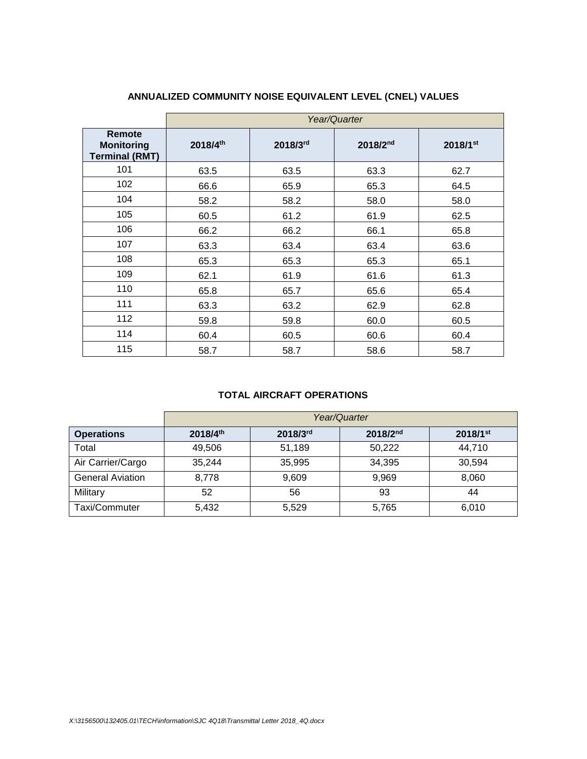|                                                      |          | Year/Quarter |          |          |  |  |  |  |  |  |  |  |
|------------------------------------------------------|----------|--------------|----------|----------|--|--|--|--|--|--|--|--|
| Remote<br><b>Monitoring</b><br><b>Terminal (RMT)</b> | 2018/4th | 2018/3rd     | 2018/2nd | 2018/1st |  |  |  |  |  |  |  |  |
| 101                                                  | 63.5     | 63.5         | 63.3     | 62.7     |  |  |  |  |  |  |  |  |
| 102                                                  | 66.6     | 65.9         | 65.3     | 64.5     |  |  |  |  |  |  |  |  |
| 104                                                  | 58.2     | 58.2         | 58.0     | 58.0     |  |  |  |  |  |  |  |  |
| 105                                                  | 60.5     | 61.2         | 61.9     | 62.5     |  |  |  |  |  |  |  |  |
| 106                                                  | 66.2     | 66.2         | 66.1     | 65.8     |  |  |  |  |  |  |  |  |
| 107                                                  | 63.3     | 63.4         | 63.4     | 63.6     |  |  |  |  |  |  |  |  |
| 108                                                  | 65.3     | 65.3         | 65.3     | 65.1     |  |  |  |  |  |  |  |  |
| 109                                                  | 62.1     | 61.9         | 61.6     | 61.3     |  |  |  |  |  |  |  |  |
| 110                                                  | 65.8     | 65.7         | 65.6     | 65.4     |  |  |  |  |  |  |  |  |
| 111                                                  | 63.3     | 63.2         | 62.9     | 62.8     |  |  |  |  |  |  |  |  |
| 112                                                  | 59.8     | 59.8         | 60.0     | 60.5     |  |  |  |  |  |  |  |  |
| 114                                                  | 60.4     | 60.5         | 60.6     | 60.4     |  |  |  |  |  |  |  |  |
| 115                                                  | 58.7     | 58.7         | 58.6     | 58.7     |  |  |  |  |  |  |  |  |

# **ANNUALIZED COMMUNITY NOISE EQUIVALENT LEVEL (CNEL) VALUES**

## **TOTAL AIRCRAFT OPERATIONS**

|                         | Year/Quarter |          |               |                        |  |  |  |  |  |  |  |  |
|-------------------------|--------------|----------|---------------|------------------------|--|--|--|--|--|--|--|--|
| <b>Operations</b>       | 2018/4th     | 2018/3rd | $2018/2^{nd}$ | $2018/1$ <sup>st</sup> |  |  |  |  |  |  |  |  |
| Total                   | 49,506       | 51,189   | 50,222        | 44.710                 |  |  |  |  |  |  |  |  |
| Air Carrier/Cargo       | 35,244       | 35,995   | 34,395        | 30,594                 |  |  |  |  |  |  |  |  |
| <b>General Aviation</b> | 8.778        | 9,609    | 9,969         | 8,060                  |  |  |  |  |  |  |  |  |
| Military                | 52           | 56       | 93            | 44                     |  |  |  |  |  |  |  |  |
| Taxi/Commuter           | 5,432        | 5,529    | 5,765         | 6,010                  |  |  |  |  |  |  |  |  |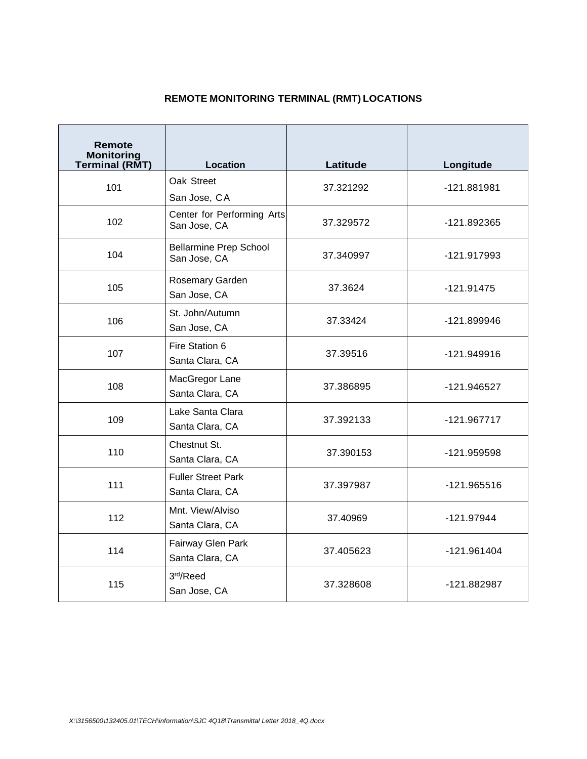# **REMOTE MONITORING TERMINAL (RMT) LOCATIONS**

| Remote<br><b>Monitoring</b><br><b>Terminal (RMT)</b> | <b>Location</b>                               | Latitude  | Longitude     |  |  |
|------------------------------------------------------|-----------------------------------------------|-----------|---------------|--|--|
| 101                                                  | Oak Street<br>San Jose, CA                    | 37.321292 | -121.881981   |  |  |
| 102                                                  | Center for Performing Arts<br>San Jose, CA    | 37.329572 | -121.892365   |  |  |
| 104                                                  | <b>Bellarmine Prep School</b><br>San Jose, CA | 37.340997 | -121.917993   |  |  |
| 105                                                  | Rosemary Garden<br>San Jose, CA               | 37.3624   | $-121.91475$  |  |  |
| 106                                                  | St. John/Autumn<br>San Jose, CA               | 37.33424  | -121.899946   |  |  |
| 107                                                  | Fire Station 6<br>Santa Clara, CA             | 37.39516  | -121.949916   |  |  |
| 108                                                  | MacGregor Lane<br>Santa Clara, CA             | 37.386895 | -121.946527   |  |  |
| 109                                                  | Lake Santa Clara<br>Santa Clara, CA           | 37.392133 | -121.967717   |  |  |
| 110                                                  | Chestnut St.<br>Santa Clara, CA               | 37.390153 | -121.959598   |  |  |
| 111                                                  | <b>Fuller Street Park</b><br>Santa Clara, CA  | 37.397987 | $-121.965516$ |  |  |
| 112                                                  | Mnt. View/Alviso<br>Santa Clara, CA           | 37.40969  | $-121.97944$  |  |  |
| 114                                                  | Fairway Glen Park<br>Santa Clara, CA          | 37.405623 | $-121.961404$ |  |  |
| 115                                                  | 3rd/Reed<br>San Jose, CA                      | 37.328608 | -121.882987   |  |  |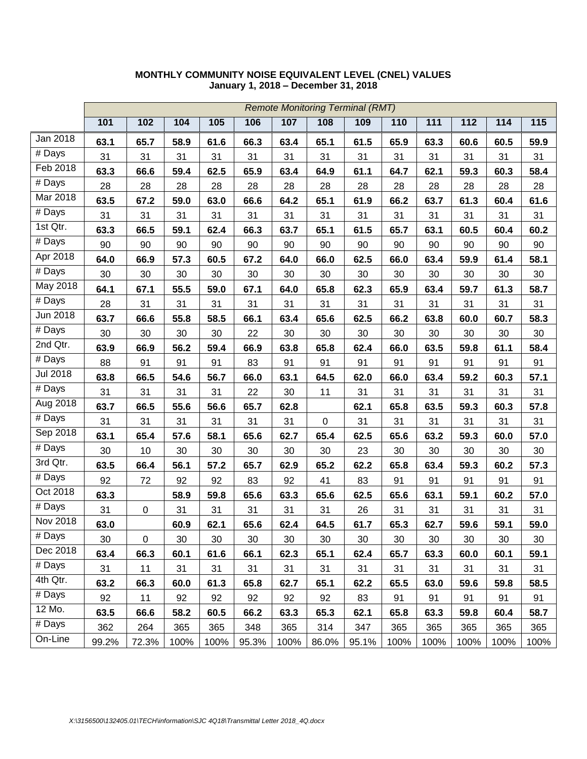|                      |       | <b>Remote Monitoring Terminal (RMT)</b> |      |      |       |      |             |       |      |      |      |      |        |
|----------------------|-------|-----------------------------------------|------|------|-------|------|-------------|-------|------|------|------|------|--------|
|                      | 101   | 102                                     | 104  | 105  | 106   | 107  | 108         | 109   | 110  | 111  | 112  | 114  | 115    |
| Jan 2018             | 63.1  | 65.7                                    | 58.9 | 61.6 | 66.3  | 63.4 | 65.1        | 61.5  | 65.9 | 63.3 | 60.6 | 60.5 | 59.9   |
| # Days               | 31    | 31                                      | 31   | 31   | 31    | 31   | 31          | 31    | 31   | 31   | 31   | 31   | 31     |
| Feb 2018             | 63.3  | 66.6                                    | 59.4 | 62.5 | 65.9  | 63.4 | 64.9        | 61.1  | 64.7 | 62.1 | 59.3 | 60.3 | 58.4   |
| # Days               | 28    | 28                                      | 28   | 28   | 28    | 28   | 28          | 28    | 28   | 28   | 28   | 28   | 28     |
| Mar 2018             | 63.5  | 67.2                                    | 59.0 | 63.0 | 66.6  | 64.2 | 65.1        | 61.9  | 66.2 | 63.7 | 61.3 | 60.4 | 61.6   |
| $\overline{\#}$ Days | 31    | 31                                      | 31   | 31   | 31    | 31   | 31          | 31    | 31   | 31   | 31   | 31   | 31     |
| $1st$ Qtr.           | 63.3  | 66.5                                    | 59.1 | 62.4 | 66.3  | 63.7 | 65.1        | 61.5  | 65.7 | 63.1 | 60.5 | 60.4 | 60.2   |
| $\overline{\#}$ Days | 90    | 90                                      | 90   | 90   | 90    | 90   | 90          | 90    | 90   | 90   | 90   | 90   | 90     |
| Apr 2018             | 64.0  | 66.9                                    | 57.3 | 60.5 | 67.2  | 64.0 | 66.0        | 62.5  | 66.0 | 63.4 | 59.9 | 61.4 | 58.1   |
| # Days               | 30    | 30                                      | 30   | 30   | 30    | 30   | 30          | 30    | 30   | 30   | 30   | 30   | 30     |
| May 2018             | 64.1  | 67.1                                    | 55.5 | 59.0 | 67.1  | 64.0 | 65.8        | 62.3  | 65.9 | 63.4 | 59.7 | 61.3 | 58.7   |
| # Days               | 28    | 31                                      | 31   | 31   | 31    | 31   | 31          | 31    | 31   | 31   | 31   | 31   | 31     |
| Jun 2018             | 63.7  | 66.6                                    | 55.8 | 58.5 | 66.1  | 63.4 | 65.6        | 62.5  | 66.2 | 63.8 | 60.0 | 60.7 | 58.3   |
| $#$ Days             | 30    | 30                                      | 30   | 30   | 22    | 30   | 30          | 30    | 30   | 30   | 30   | 30   | 30     |
| 2nd Qtr.             | 63.9  | 66.9                                    | 56.2 | 59.4 | 66.9  | 63.8 | 65.8        | 62.4  | 66.0 | 63.5 | 59.8 | 61.1 | 58.4   |
| # Days               | 88    | 91                                      | 91   | 91   | 83    | 91   | 91          | 91    | 91   | 91   | 91   | 91   | 91     |
| <b>Jul 2018</b>      | 63.8  | 66.5                                    | 54.6 | 56.7 | 66.0  | 63.1 | 64.5        | 62.0  | 66.0 | 63.4 | 59.2 | 60.3 | 57.1   |
| $#$ Days             | 31    | 31                                      | 31   | 31   | 22    | 30   | 11          | 31    | 31   | 31   | 31   | 31   | 31     |
| Aug 2018             | 63.7  | 66.5                                    | 55.6 | 56.6 | 65.7  | 62.8 |             | 62.1  | 65.8 | 63.5 | 59.3 | 60.3 | 57.8   |
| $#$ Days             | 31    | 31                                      | 31   | 31   | 31    | 31   | $\mathbf 0$ | 31    | 31   | 31   | 31   | 31   | 31     |
| Sep 2018             | 63.1  | 65.4                                    | 57.6 | 58.1 | 65.6  | 62.7 | 65.4        | 62.5  | 65.6 | 63.2 | 59.3 | 60.0 | 57.0   |
| $#$ Days             | 30    | 10                                      | 30   | 30   | 30    | 30   | 30          | 23    | 30   | 30   | 30   | 30   | $30\,$ |
| 3rd Qtr.             | 63.5  | 66.4                                    | 56.1 | 57.2 | 65.7  | 62.9 | 65.2        | 62.2  | 65.8 | 63.4 | 59.3 | 60.2 | 57.3   |
| # Days               | 92    | 72                                      | 92   | 92   | 83    | 92   | 41          | 83    | 91   | 91   | 91   | 91   | 91     |
| Oct 2018             | 63.3  |                                         | 58.9 | 59.8 | 65.6  | 63.3 | 65.6        | 62.5  | 65.6 | 63.1 | 59.1 | 60.2 | 57.0   |
| $\overline{\#}$ Days | 31    | $\boldsymbol{0}$                        | 31   | 31   | 31    | 31   | 31          | 26    | 31   | 31   | 31   | 31   | 31     |
| Nov 2018             | 63.0  |                                         | 60.9 | 62.1 | 65.6  | 62.4 | 64.5        | 61.7  | 65.3 | 62.7 | 59.6 | 59.1 | 59.0   |
| # Days               | 30    | $\pmb{0}$                               | 30   | 30   | 30    | 30   | 30          | 30    | 30   | 30   | 30   | 30   | 30     |
| Dec 2018             | 63.4  | 66.3                                    | 60.1 | 61.6 | 66.1  | 62.3 | 65.1        | 62.4  | 65.7 | 63.3 | 60.0 | 60.1 | 59.1   |
| # Days               | 31    | 11                                      | 31   | 31   | 31    | 31   | 31          | 31    | 31   | 31   | 31   | 31   | 31     |
| 4th Qtr.             | 63.2  | 66.3                                    | 60.0 | 61.3 | 65.8  | 62.7 | 65.1        | 62.2  | 65.5 | 63.0 | 59.6 | 59.8 | 58.5   |
| # Days               | 92    | 11                                      | 92   | 92   | 92    | 92   | 92          | 83    | 91   | 91   | 91   | 91   | 91     |
| 12 Mo.               | 63.5  | 66.6                                    | 58.2 | 60.5 | 66.2  | 63.3 | 65.3        | 62.1  | 65.8 | 63.3 | 59.8 | 60.4 | 58.7   |
| # Days               | 362   | 264                                     | 365  | 365  | 348   | 365  | 314         | 347   | 365  | 365  | 365  | 365  | 365    |
| On-Line              | 99.2% | 72.3%                                   | 100% | 100% | 95.3% | 100% | 86.0%       | 95.1% | 100% | 100% | 100% | 100% | 100%   |

### **MONTHLY COMMUNITY NOISE EQUIVALENT LEVEL (CNEL) VALUES January 1, 2018 – December 31, 2018**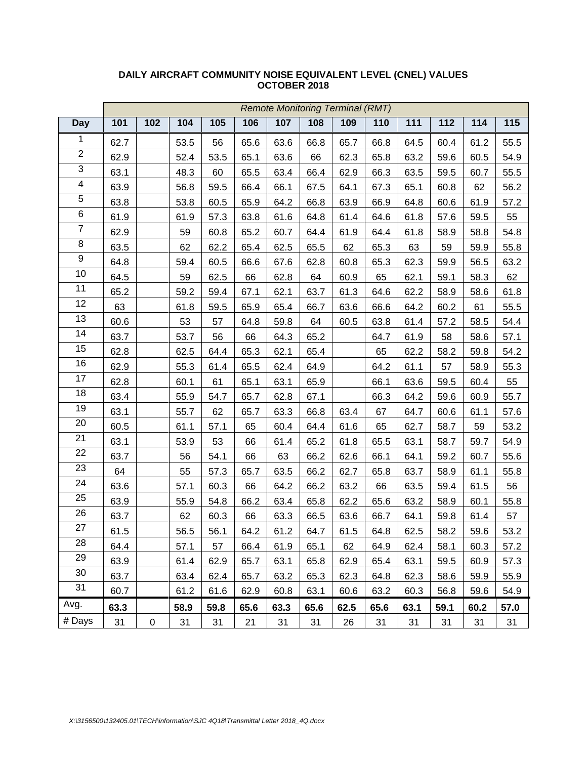|                         | <b>Remote Monitoring Terminal (RMT)</b> |           |      |      |      |      |      |      |      |      |      |      |      |
|-------------------------|-----------------------------------------|-----------|------|------|------|------|------|------|------|------|------|------|------|
| <b>Day</b>              | 101                                     | 102       | 104  | 105  | 106  | 107  | 108  | 109  | 110  | 111  | 112  | 114  | 115  |
| $\mathbf{1}$            | 62.7                                    |           | 53.5 | 56   | 65.6 | 63.6 | 66.8 | 65.7 | 66.8 | 64.5 | 60.4 | 61.2 | 55.5 |
| $\overline{2}$          | 62.9                                    |           | 52.4 | 53.5 | 65.1 | 63.6 | 66   | 62.3 | 65.8 | 63.2 | 59.6 | 60.5 | 54.9 |
| $\overline{3}$          | 63.1                                    |           | 48.3 | 60   | 65.5 | 63.4 | 66.4 | 62.9 | 66.3 | 63.5 | 59.5 | 60.7 | 55.5 |
| $\overline{\mathbf{4}}$ | 63.9                                    |           | 56.8 | 59.5 | 66.4 | 66.1 | 67.5 | 64.1 | 67.3 | 65.1 | 60.8 | 62   | 56.2 |
| $\overline{5}$          | 63.8                                    |           | 53.8 | 60.5 | 65.9 | 64.2 | 66.8 | 63.9 | 66.9 | 64.8 | 60.6 | 61.9 | 57.2 |
| $\overline{6}$          | 61.9                                    |           | 61.9 | 57.3 | 63.8 | 61.6 | 64.8 | 61.4 | 64.6 | 61.8 | 57.6 | 59.5 | 55   |
| $\overline{7}$          | 62.9                                    |           | 59   | 60.8 | 65.2 | 60.7 | 64.4 | 61.9 | 64.4 | 61.8 | 58.9 | 58.8 | 54.8 |
| $\overline{8}$          | 63.5                                    |           | 62   | 62.2 | 65.4 | 62.5 | 65.5 | 62   | 65.3 | 63   | 59   | 59.9 | 55.8 |
| 9                       | 64.8                                    |           | 59.4 | 60.5 | 66.6 | 67.6 | 62.8 | 60.8 | 65.3 | 62.3 | 59.9 | 56.5 | 63.2 |
| 10                      | 64.5                                    |           | 59   | 62.5 | 66   | 62.8 | 64   | 60.9 | 65   | 62.1 | 59.1 | 58.3 | 62   |
| 11                      | 65.2                                    |           | 59.2 | 59.4 | 67.1 | 62.1 | 63.7 | 61.3 | 64.6 | 62.2 | 58.9 | 58.6 | 61.8 |
| 12                      | 63                                      |           | 61.8 | 59.5 | 65.9 | 65.4 | 66.7 | 63.6 | 66.6 | 64.2 | 60.2 | 61   | 55.5 |
| 13                      | 60.6                                    |           | 53   | 57   | 64.8 | 59.8 | 64   | 60.5 | 63.8 | 61.4 | 57.2 | 58.5 | 54.4 |
| 14                      | 63.7                                    |           | 53.7 | 56   | 66   | 64.3 | 65.2 |      | 64.7 | 61.9 | 58   | 58.6 | 57.1 |
| 15                      | 62.8                                    |           | 62.5 | 64.4 | 65.3 | 62.1 | 65.4 |      | 65   | 62.2 | 58.2 | 59.8 | 54.2 |
| 16                      | 62.9                                    |           | 55.3 | 61.4 | 65.5 | 62.4 | 64.9 |      | 64.2 | 61.1 | 57   | 58.9 | 55.3 |
| 17                      | 62.8                                    |           | 60.1 | 61   | 65.1 | 63.1 | 65.9 |      | 66.1 | 63.6 | 59.5 | 60.4 | 55   |
| 18                      | 63.4                                    |           | 55.9 | 54.7 | 65.7 | 62.8 | 67.1 |      | 66.3 | 64.2 | 59.6 | 60.9 | 55.7 |
| 19                      | 63.1                                    |           | 55.7 | 62   | 65.7 | 63.3 | 66.8 | 63.4 | 67   | 64.7 | 60.6 | 61.1 | 57.6 |
| 20                      | 60.5                                    |           | 61.1 | 57.1 | 65   | 60.4 | 64.4 | 61.6 | 65   | 62.7 | 58.7 | 59   | 53.2 |
| 21                      | 63.1                                    |           | 53.9 | 53   | 66   | 61.4 | 65.2 | 61.8 | 65.5 | 63.1 | 58.7 | 59.7 | 54.9 |
| 22                      | 63.7                                    |           | 56   | 54.1 | 66   | 63   | 66.2 | 62.6 | 66.1 | 64.1 | 59.2 | 60.7 | 55.6 |
| 23                      | 64                                      |           | 55   | 57.3 | 65.7 | 63.5 | 66.2 | 62.7 | 65.8 | 63.7 | 58.9 | 61.1 | 55.8 |
| 24                      | 63.6                                    |           | 57.1 | 60.3 | 66   | 64.2 | 66.2 | 63.2 | 66   | 63.5 | 59.4 | 61.5 | 56   |
| 25                      | 63.9                                    |           | 55.9 | 54.8 | 66.2 | 63.4 | 65.8 | 62.2 | 65.6 | 63.2 | 58.9 | 60.1 | 55.8 |
| 26                      | 63.7                                    |           | 62   | 60.3 | 66   | 63.3 | 66.5 | 63.6 | 66.7 | 64.1 | 59.8 | 61.4 | 57   |
| 27                      | 61.5                                    |           | 56.5 | 56.1 | 64.2 | 61.2 | 64.7 | 61.5 | 64.8 | 62.5 | 58.2 | 59.6 | 53.2 |
| 28                      | 64.4                                    |           | 57.1 | 57   | 66.4 | 61.9 | 65.1 | 62   | 64.9 | 62.4 | 58.1 | 60.3 | 57.2 |
| 29                      | 63.9                                    |           | 61.4 | 62.9 | 65.7 | 63.1 | 65.8 | 62.9 | 65.4 | 63.1 | 59.5 | 60.9 | 57.3 |
| 30                      | 63.7                                    |           | 63.4 | 62.4 | 65.7 | 63.2 | 65.3 | 62.3 | 64.8 | 62.3 | 58.6 | 59.9 | 55.9 |
| 31                      | 60.7                                    |           | 61.2 | 61.6 | 62.9 | 60.8 | 63.1 | 60.6 | 63.2 | 60.3 | 56.8 | 59.6 | 54.9 |
| Avg.                    | 63.3                                    |           | 58.9 | 59.8 | 65.6 | 63.3 | 65.6 | 62.5 | 65.6 | 63.1 | 59.1 | 60.2 | 57.0 |
| # Days                  | 31                                      | $\pmb{0}$ | 31   | 31   | 21   | 31   | 31   | 26   | 31   | 31   | 31   | 31   | 31   |

### **DAILY AIRCRAFT COMMUNITY NOISE EQUIVALENT LEVEL (CNEL) VALUES OCTOBER 2018**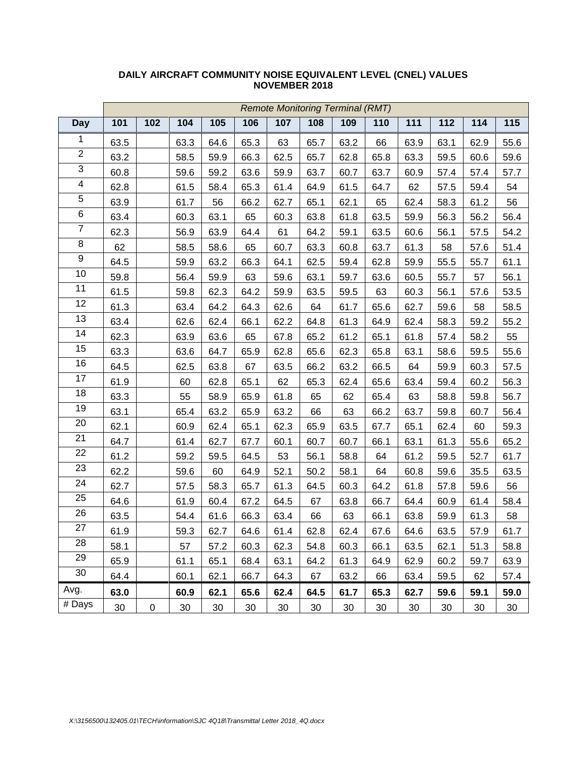|                         | <b>Remote Monitoring Terminal (RMT)</b> |           |      |        |        |        |        |        |        |      |        |      |      |
|-------------------------|-----------------------------------------|-----------|------|--------|--------|--------|--------|--------|--------|------|--------|------|------|
| <b>Day</b>              | 101                                     | 102       | 104  | 105    | 106    | 107    | 108    | 109    | 110    | 111  | 112    | 114  | 115  |
| $\mathbf{1}$            | 63.5                                    |           | 63.3 | 64.6   | 65.3   | 63     | 65.7   | 63.2   | 66     | 63.9 | 63.1   | 62.9 | 55.6 |
| $\overline{2}$          | 63.2                                    |           | 58.5 | 59.9   | 66.3   | 62.5   | 65.7   | 62.8   | 65.8   | 63.3 | 59.5   | 60.6 | 59.6 |
| $\overline{3}$          | 60.8                                    |           | 59.6 | 59.2   | 63.6   | 59.9   | 63.7   | 60.7   | 63.7   | 60.9 | 57.4   | 57.4 | 57.7 |
| $\overline{\mathbf{4}}$ | 62.8                                    |           | 61.5 | 58.4   | 65.3   | 61.4   | 64.9   | 61.5   | 64.7   | 62   | 57.5   | 59.4 | 54   |
| 5                       | 63.9                                    |           | 61.7 | 56     | 66.2   | 62.7   | 65.1   | 62.1   | 65     | 62.4 | 58.3   | 61.2 | 56   |
| 6                       | 63.4                                    |           | 60.3 | 63.1   | 65     | 60.3   | 63.8   | 61.8   | 63.5   | 59.9 | 56.3   | 56.2 | 56.4 |
| $\overline{7}$          | 62.3                                    |           | 56.9 | 63.9   | 64.4   | 61     | 64.2   | 59.1   | 63.5   | 60.6 | 56.1   | 57.5 | 54.2 |
| $\overline{8}$          | 62                                      |           | 58.5 | 58.6   | 65     | 60.7   | 63.3   | 60.8   | 63.7   | 61.3 | 58     | 57.6 | 51.4 |
| 9                       | 64.5                                    |           | 59.9 | 63.2   | 66.3   | 64.1   | 62.5   | 59.4   | 62.8   | 59.9 | 55.5   | 55.7 | 61.1 |
| $10$                    | 59.8                                    |           | 56.4 | 59.9   | 63     | 59.6   | 63.1   | 59.7   | 63.6   | 60.5 | 55.7   | 57   | 56.1 |
| 11                      | 61.5                                    |           | 59.8 | 62.3   | 64.2   | 59.9   | 63.5   | 59.5   | 63     | 60.3 | 56.1   | 57.6 | 53.5 |
| 12                      | 61.3                                    |           | 63.4 | 64.2   | 64.3   | 62.6   | 64     | 61.7   | 65.6   | 62.7 | 59.6   | 58   | 58.5 |
| $\overline{13}$         | 63.4                                    |           | 62.6 | 62.4   | 66.1   | 62.2   | 64.8   | 61.3   | 64.9   | 62.4 | 58.3   | 59.2 | 55.2 |
| 14                      | 62.3                                    |           | 63.9 | 63.6   | 65     | 67.8   | 65.2   | 61.2   | 65.1   | 61.8 | 57.4   | 58.2 | 55   |
| 15                      | 63.3                                    |           | 63.6 | 64.7   | 65.9   | 62.8   | 65.6   | 62.3   | 65.8   | 63.1 | 58.6   | 59.5 | 55.6 |
| 16                      | 64.5                                    |           | 62.5 | 63.8   | 67     | 63.5   | 66.2   | 63.2   | 66.5   | 64   | 59.9   | 60.3 | 57.5 |
| 17                      | 61.9                                    |           | 60   | 62.8   | 65.1   | 62     | 65.3   | 62.4   | 65.6   | 63.4 | 59.4   | 60.2 | 56.3 |
| $\overline{18}$         | 63.3                                    |           | 55   | 58.9   | 65.9   | 61.8   | 65     | 62     | 65.4   | 63   | 58.8   | 59.8 | 56.7 |
| 19                      | 63.1                                    |           | 65.4 | 63.2   | 65.9   | 63.2   | 66     | 63     | 66.2   | 63.7 | 59.8   | 60.7 | 56.4 |
| 20                      | 62.1                                    |           | 60.9 | 62.4   | 65.1   | 62.3   | 65.9   | 63.5   | 67.7   | 65.1 | 62.4   | 60   | 59.3 |
| 21                      | 64.7                                    |           | 61.4 | 62.7   | 67.7   | 60.1   | 60.7   | 60.7   | 66.1   | 63.1 | 61.3   | 55.6 | 65.2 |
| 22                      | 61.2                                    |           | 59.2 | 59.5   | 64.5   | 53     | 56.1   | 58.8   | 64     | 61.2 | 59.5   | 52.7 | 61.7 |
| 23                      | 62.2                                    |           | 59.6 | 60     | 64.9   | 52.1   | 50.2   | 58.1   | 64     | 60.8 | 59.6   | 35.5 | 63.5 |
| 24                      | 62.7                                    |           | 57.5 | 58.3   | 65.7   | 61.3   | 64.5   | 60.3   | 64.2   | 61.8 | 57.8   | 59.6 | 56   |
| 25                      | 64.6                                    |           | 61.9 | 60.4   | 67.2   | 64.5   | 67     | 63.8   | 66.7   | 64.4 | 60.9   | 61.4 | 58.4 |
| 26                      | 63.5                                    |           | 54.4 | 61.6   | 66.3   | 63.4   | 66     | 63     | 66.1   | 63.8 | 59.9   | 61.3 | 58   |
| 27                      | 61.9                                    |           | 59.3 | 62.7   | 64.6   | 61.4   | 62.8   | 62.4   | 67.6   | 64.6 | 63.5   | 57.9 | 61.7 |
| 28                      | 58.1                                    |           | 57   | 57.2   | 60.3   | 62.3   | 54.8   | 60.3   | 66.1   | 63.5 | 62.1   | 51.3 | 58.8 |
| 29                      | 65.9                                    |           | 61.1 | 65.1   | 68.4   | 63.1   | 64.2   | 61.3   | 64.9   | 62.9 | 60.2   | 59.7 | 63.9 |
| 30                      | 64.4                                    |           | 60.1 | 62.1   | 66.7   | 64.3   | 67     | 63.2   | 66     | 63.4 | 59.5   | 62   | 57.4 |
| Avg.                    | 63.0                                    |           | 60.9 | 62.1   | 65.6   | 62.4   | 64.5   | 61.7   | 65.3   | 62.7 | 59.6   | 59.1 | 59.0 |
| # Days                  | $30\,$                                  | $\pmb{0}$ | 30   | $30\,$ | $30\,$ | $30\,$ | $30\,$ | $30\,$ | $30\,$ | 30   | $30\,$ | 30   | 30   |

#### **DAILY AIRCRAFT COMMUNITY NOISE EQUIVALENT LEVEL (CNEL) VALUES NOVEMBER 2018**